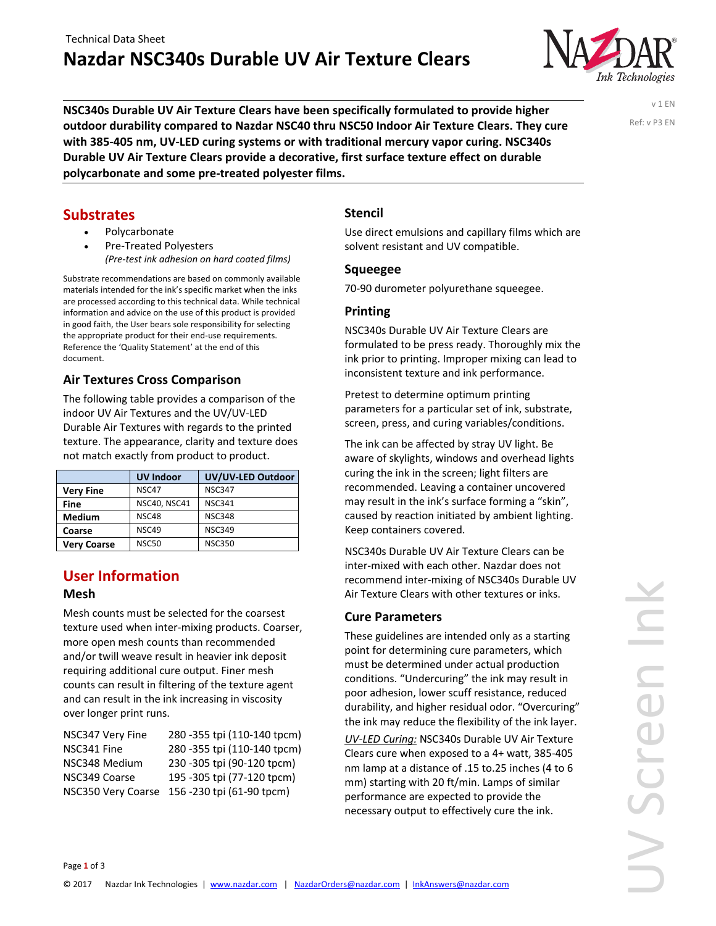

**NSC340s Durable UV Air Texture Clears have been specifically formulated to provide higher outdoor durability compared to Nazdar NSC40 thru NSC50 Indoor Air Texture Clears. They cure with 385‐405 nm, UV‐LED curing systems or with traditional mercury vapor curing. NSC340s Durable UV Air Texture Clears provide a decorative, first surface texture effect on durable polycarbonate and some pre‐treated polyester films.** 

v 1 EN Ref: v P3 EN

#### **Substrates**

- Polycarbonate
- Pre‐Treated Polyesters *(Pre‐test ink adhesion on hard coated films)*

Substrate recommendations are based on commonly available materials intended for the ink's specific market when the inks are processed according to this technical data. While technical information and advice on the use of this product is provided in good faith, the User bears sole responsibility for selecting the appropriate product for their end‐use requirements. Reference the 'Quality Statement' at the end of this document.

#### **Air Textures Cross Comparison**

The following table provides a comparison of the indoor UV Air Textures and the UV/UV‐LED Durable Air Textures with regards to the printed texture. The appearance, clarity and texture does not match exactly from product to product.

|                    | <b>UV Indoor</b>    | UV/UV-LED Outdoor |
|--------------------|---------------------|-------------------|
| <b>Very Fine</b>   | NSC47               | <b>NSC347</b>     |
| Fine               | <b>NSC40, NSC41</b> | <b>NSC341</b>     |
| <b>Medium</b>      | NSC48               | <b>NSC348</b>     |
| Coarse             | NSC49               | <b>NSC349</b>     |
| <b>Very Coarse</b> | <b>NSC50</b>        | <b>NSC350</b>     |

#### **User Information Mesh**

Mesh counts must be selected for the coarsest texture used when inter‐mixing products. Coarser, more open mesh counts than recommended and/or twill weave result in heavier ink deposit requiring additional cure output. Finer mesh counts can result in filtering of the texture agent and can result in the ink increasing in viscosity over longer print runs.

| NSC347 Very Fine   | 280 -355 tpi (110-140 tpcm)  |
|--------------------|------------------------------|
| NSC341 Fine        | 280 - 355 tpi (110-140 tpcm) |
| NSC348 Medium      | 230 - 305 tpi (90-120 tpcm)  |
| NSC349 Coarse      | 195 - 305 tpi (77-120 tpcm)  |
| NSC350 Very Coarse | 156 -230 tpi (61-90 tpcm)    |

### **Stencil**

Use direct emulsions and capillary films which are solvent resistant and UV compatible.

#### **Squeegee**

70‐90 durometer polyurethane squeegee.

#### **Printing**

NSC340s Durable UV Air Texture Clears are formulated to be press ready. Thoroughly mix the ink prior to printing. Improper mixing can lead to inconsistent texture and ink performance.

Pretest to determine optimum printing parameters for a particular set of ink, substrate, screen, press, and curing variables/conditions.

The ink can be affected by stray UV light. Be aware of skylights, windows and overhead lights curing the ink in the screen; light filters are recommended. Leaving a container uncovered may result in the ink's surface forming a "skin", caused by reaction initiated by ambient lighting. Keep containers covered.

NSC340s Durable UV Air Texture Clears can be inter‐mixed with each other. Nazdar does not recommend inter‐mixing of NSC340s Durable UV Air Texture Clears with other textures or inks.

#### **Cure Parameters**

These guidelines are intended only as a starting point for determining cure parameters, which must be determined under actual production conditions. "Undercuring" the ink may result in poor adhesion, lower scuff resistance, reduced durability, and higher residual odor. "Overcuring" the ink may reduce the flexibility of the ink layer.

*UV‐LED Curing:* NSC340s Durable UV Air Texture Clears cure when exposed to a 4+ watt, 385‐405 nm lamp at a distance of .15 to.25 inches (4 to 6 mm) starting with 20 ft/min. Lamps of similar performance are expected to provide the necessary output to effectively cure the ink.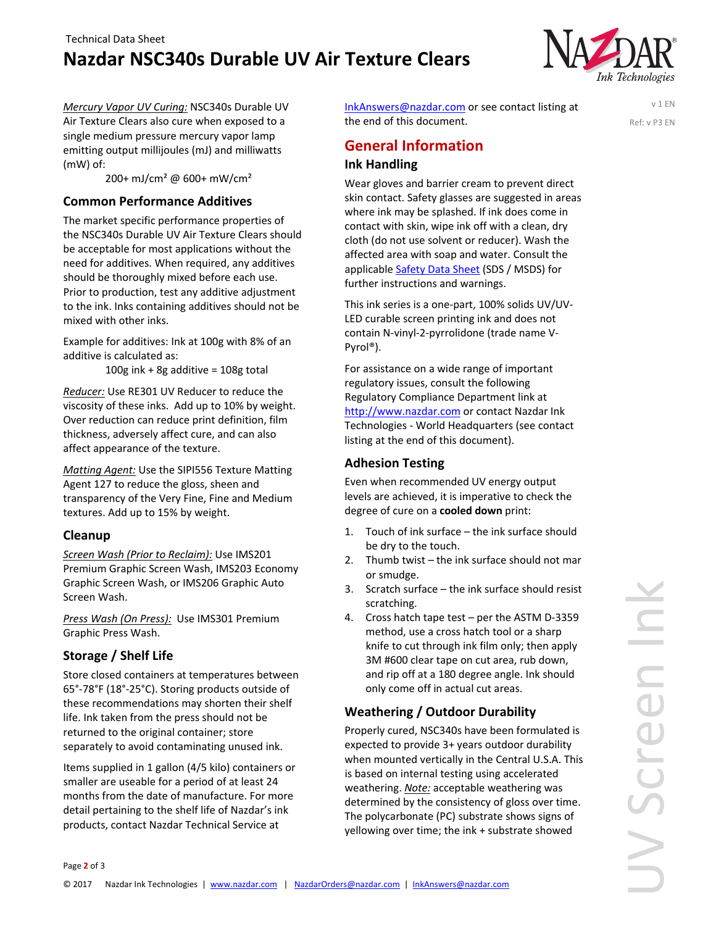# **Nazdar NSC340s Durable UV Air Texture Clears**



v 1 EN Ref: v P3 EN

*Mercury Vapor UV Curing:* NSC340s Durable UV Air Texture Clears also cure when exposed to a single medium pressure mercury vapor lamp emitting output millijoules (mJ) and milliwatts (mW) of:

200+ mJ/cm² @ 600+ mW/cm²

#### **Common Performance Additives**

The market specific performance properties of the NSC340s Durable UV Air Texture Clears should be acceptable for most applications without the need for additives. When required, any additives should be thoroughly mixed before each use. Prior to production, test any additive adjustment to the ink. Inks containing additives should not be mixed with other inks.

Example for additives: Ink at 100g with 8% of an additive is calculated as:

100g ink + 8g additive =  $108g$  total

*Reducer:* Use RE301 UV Reducer to reduce the viscosity of these inks. Add up to 10% by weight. Over reduction can reduce print definition, film thickness, adversely affect cure, and can also affect appearance of the texture.

*Matting Agent:* Use the SIPI556 Texture Matting Agent 127 to reduce the gloss, sheen and transparency of the Very Fine, Fine and Medium textures. Add up to 15% by weight.

#### **Cleanup**

Page **2** of 3

*Screen Wash (Prior to Reclaim):* Use IMS201 Premium Graphic Screen Wash, IMS203 Economy Graphic Screen Wash, or IMS206 Graphic Auto Screen Wash.

*Press Wash (On Press):* Use IMS301 Premium Graphic Press Wash.

#### **Storage / Shelf Life**

Store closed containers at temperatures between 65°‐78°F (18°‐25°C). Storing products outside of these recommendations may shorten their shelf life. Ink taken from the press should not be returned to the original container; store separately to avoid contaminating unused ink.

Items supplied in 1 gallon (4/5 kilo) containers or smaller are useable for a period of at least 24 months from the date of manufacture. For more detail pertaining to the shelf life of Nazdar's ink products, contact Nazdar Technical Service at

InkAnswers@nazdar.com or see contact listing at the end of this document.

**General Information Ink Handling**

Wear gloves and barrier cream to prevent direct skin contact. Safety glasses are suggested in areas where ink may be splashed. If ink does come in contact with skin, wipe ink off with a clean, dry cloth (do not use solvent or reducer). Wash the affected area with soap and water. Consult the applicable Safety Data Sheet (SDS / MSDS) for further instructions and warnings.

This ink series is a one‐part, 100% solids UV/UV‐ LED curable screen printing ink and does not contain N‐vinyl‐2‐pyrrolidone (trade name V‐ Pyrol®).

For assistance on a wide range of important regulatory issues, consult the following Regulatory Compliance Department link at http://www.nazdar.com or contact Nazdar Ink Technologies ‐ World Headquarters (see contact listing at the end of this document).

#### **Adhesion Testing**

Even when recommended UV energy output levels are achieved, it is imperative to check the degree of cure on a **cooled down** print:

- 1. Touch of ink surface the ink surface should be dry to the touch.
- 2. Thumb twist the ink surface should not mar or smudge.
- 3. Scratch surface the ink surface should resist scratching.
- 4. Cross hatch tape test per the ASTM D‐3359 method, use a cross hatch tool or a sharp knife to cut through ink film only; then apply 3M #600 clear tape on cut area, rub down, and rip off at a 180 degree angle. Ink should only come off in actual cut areas.

#### **Weathering / Outdoor Durability**

Properly cured, NSC340s have been formulated is expected to provide 3+ years outdoor durability when mounted vertically in the Central U.S.A. This is based on internal testing using accelerated weathering. *Note:* acceptable weathering was determined by the consistency of gloss over time. The polycarbonate (PC) substrate shows signs of yellowing over time; the ink + substrate showed

© 2017 Nazdar Ink Technologies | www.nazdar.com | NazdarOrders@nazdar.com | InkAnswers@nazdar.com